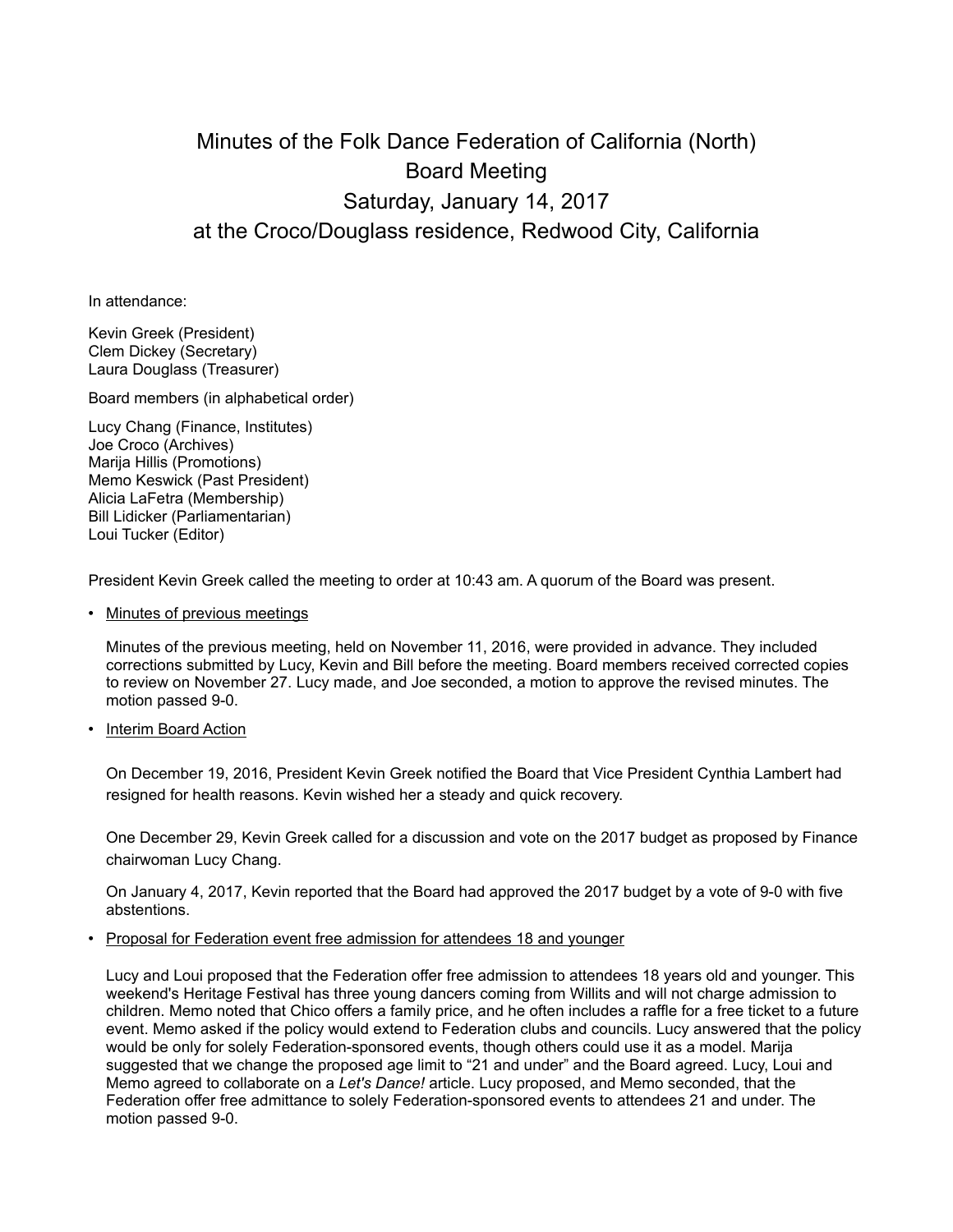## Minutes of the Folk Dance Federation of California (North) Board Meeting Saturday, January 14, 2017 at the Croco/Douglass residence, Redwood City, California

In attendance:

Kevin Greek (President) Clem Dickey (Secretary) Laura Douglass (Treasurer)

Board members (in alphabetical order)

Lucy Chang (Finance, Institutes) Joe Croco (Archives) Marija Hillis (Promotions) Memo Keswick (Past President) Alicia LaFetra (Membership) Bill Lidicker (Parliamentarian) Loui Tucker (Editor)

President Kevin Greek called the meeting to order at 10:43 am. A quorum of the Board was present.

• Minutes of previous meetings

Minutes of the previous meeting, held on November 11, 2016, were provided in advance. They included corrections submitted by Lucy, Kevin and Bill before the meeting. Board members received corrected copies to review on November 27. Lucy made, and Joe seconded, a motion to approve the revised minutes. The motion passed 9-0.

• Interim Board Action

On December 19, 2016, President Kevin Greek notified the Board that Vice President Cynthia Lambert had resigned for health reasons. Kevin wished her a steady and quick recovery.

One December 29, Kevin Greek called for a discussion and vote on the 2017 budget as proposed by Finance chairwoman Lucy Chang.

On January 4, 2017, Kevin reported that the Board had approved the 2017 budget by a vote of 9-0 with five abstentions.

• Proposal for Federation event free admission for attendees 18 and younger

Lucy and Loui proposed that the Federation offer free admission to attendees 18 years old and younger. This weekend's Heritage Festival has three young dancers coming from Willits and will not charge admission to children. Memo noted that Chico offers a family price, and he often includes a raffle for a free ticket to a future event. Memo asked if the policy would extend to Federation clubs and councils. Lucy answered that the policy would be only for solely Federation-sponsored events, though others could use it as a model. Marija suggested that we change the proposed age limit to "21 and under" and the Board agreed. Lucy, Loui and Memo agreed to collaborate on a *Let's Dance!* article. Lucy proposed, and Memo seconded, that the Federation offer free admittance to solely Federation-sponsored events to attendees 21 and under. The motion passed 9-0.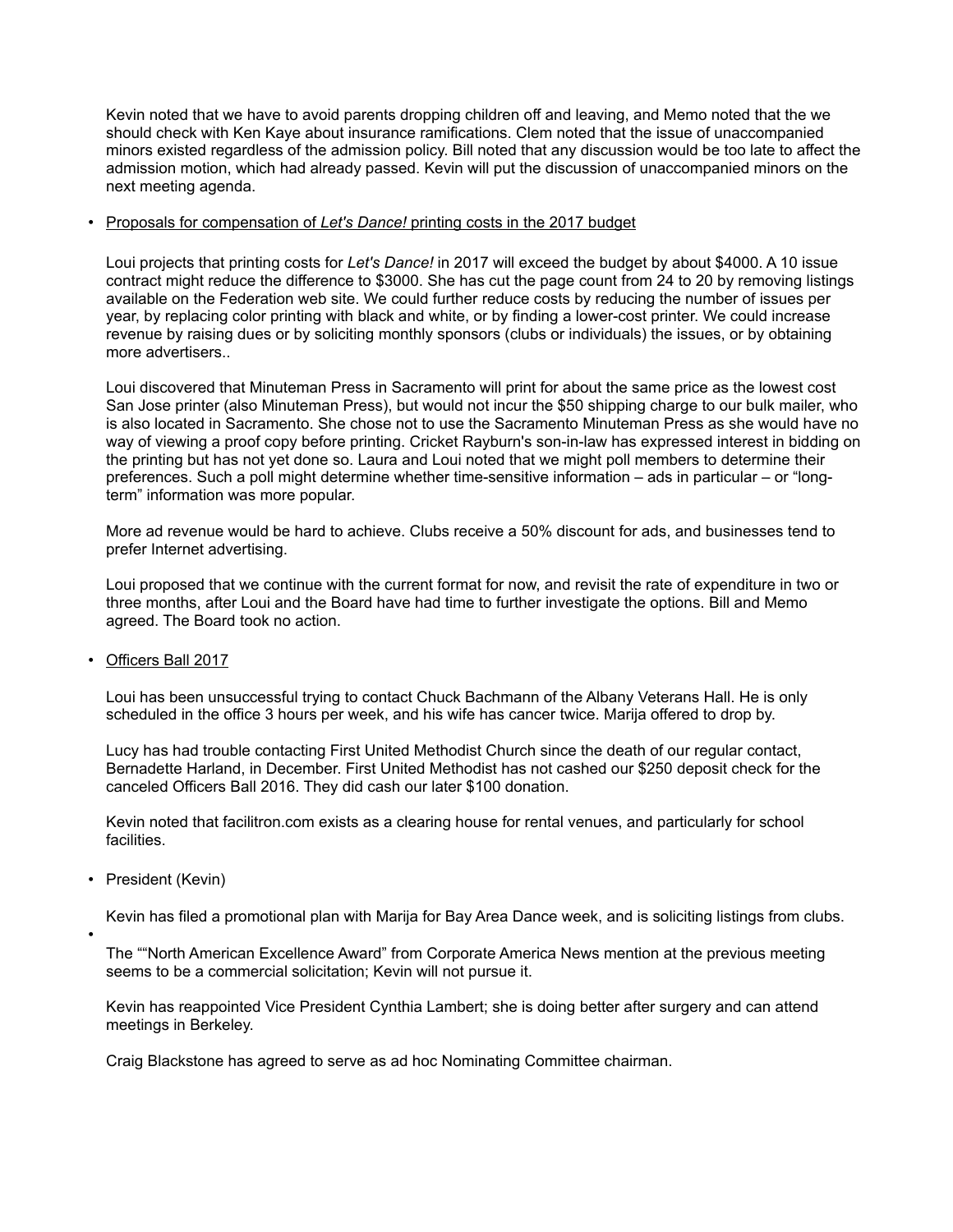Kevin noted that we have to avoid parents dropping children off and leaving, and Memo noted that the we should check with Ken Kaye about insurance ramifications. Clem noted that the issue of unaccompanied minors existed regardless of the admission policy. Bill noted that any discussion would be too late to affect the admission motion, which had already passed. Kevin will put the discussion of unaccompanied minors on the next meeting agenda.

## • Proposals for compensation of *Let's Dance!* printing costs in the 2017 budget

Loui projects that printing costs for *Let's Dance!* in 2017 will exceed the budget by about \$4000. A 10 issue contract might reduce the difference to \$3000. She has cut the page count from 24 to 20 by removing listings available on the Federation web site. We could further reduce costs by reducing the number of issues per year, by replacing color printing with black and white, or by finding a lower-cost printer. We could increase revenue by raising dues or by soliciting monthly sponsors (clubs or individuals) the issues, or by obtaining more advertisers..

Loui discovered that Minuteman Press in Sacramento will print for about the same price as the lowest cost San Jose printer (also Minuteman Press), but would not incur the \$50 shipping charge to our bulk mailer, who is also located in Sacramento. She chose not to use the Sacramento Minuteman Press as she would have no way of viewing a proof copy before printing. Cricket Rayburn's son-in-law has expressed interest in bidding on the printing but has not yet done so. Laura and Loui noted that we might poll members to determine their preferences. Such a poll might determine whether time-sensitive information – ads in particular – or "longterm" information was more popular.

More ad revenue would be hard to achieve. Clubs receive a 50% discount for ads, and businesses tend to prefer Internet advertising.

Loui proposed that we continue with the current format for now, and revisit the rate of expenditure in two or three months, after Loui and the Board have had time to further investigate the options. Bill and Memo agreed. The Board took no action.

• Officers Ball 2017

Loui has been unsuccessful trying to contact Chuck Bachmann of the Albany Veterans Hall. He is only scheduled in the office 3 hours per week, and his wife has cancer twice. Marija offered to drop by.

Lucy has had trouble contacting First United Methodist Church since the death of our regular contact, Bernadette Harland, in December. First United Methodist has not cashed our \$250 deposit check for the canceled Officers Ball 2016. They did cash our later \$100 donation.

Kevin noted that facilitron.com exists as a clearing house for rental venues, and particularly for school facilities.

• President (Kevin)

•

Kevin has filed a promotional plan with Marija for Bay Area Dance week, and is soliciting listings from clubs.

The ""North American Excellence Award" from Corporate America News mention at the previous meeting seems to be a commercial solicitation; Kevin will not pursue it.

Kevin has reappointed Vice President Cynthia Lambert; she is doing better after surgery and can attend meetings in Berkeley.

Craig Blackstone has agreed to serve as ad hoc Nominating Committee chairman.